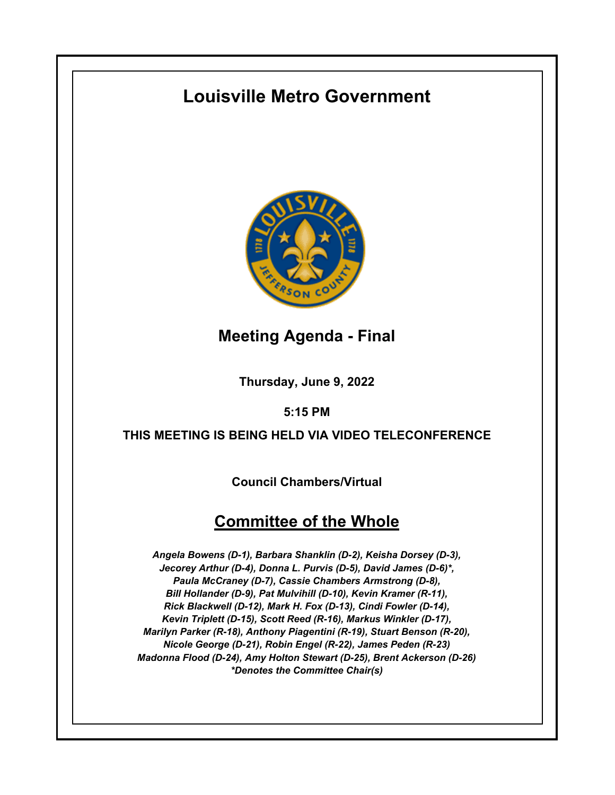# **Louisville Metro Government**



**Meeting Agenda - Final**

**Thursday, June 9, 2022**

**5:15 PM**

# **THIS MEETING IS BEING HELD VIA VIDEO TELECONFERENCE**

**Council Chambers/Virtual**

# **Committee of the Whole**

*Angela Bowens (D-1), Barbara Shanklin (D-2), Keisha Dorsey (D-3), Jecorey Arthur (D-4), Donna L. Purvis (D-5), David James (D-6)\*, Paula McCraney (D-7), Cassie Chambers Armstrong (D-8), Bill Hollander (D-9), Pat Mulvihill (D-10), Kevin Kramer (R-11), Rick Blackwell (D-12), Mark H. Fox (D-13), Cindi Fowler (D-14), Kevin Triplett (D-15), Scott Reed (R-16), Markus Winkler (D-17), Marilyn Parker (R-18), Anthony Piagentini (R-19), Stuart Benson (R-20), Nicole George (D-21), Robin Engel (R-22), James Peden (R-23) Madonna Flood (D-24), Amy Holton Stewart (D-25), Brent Ackerson (D-26) \*Denotes the Committee Chair(s)*